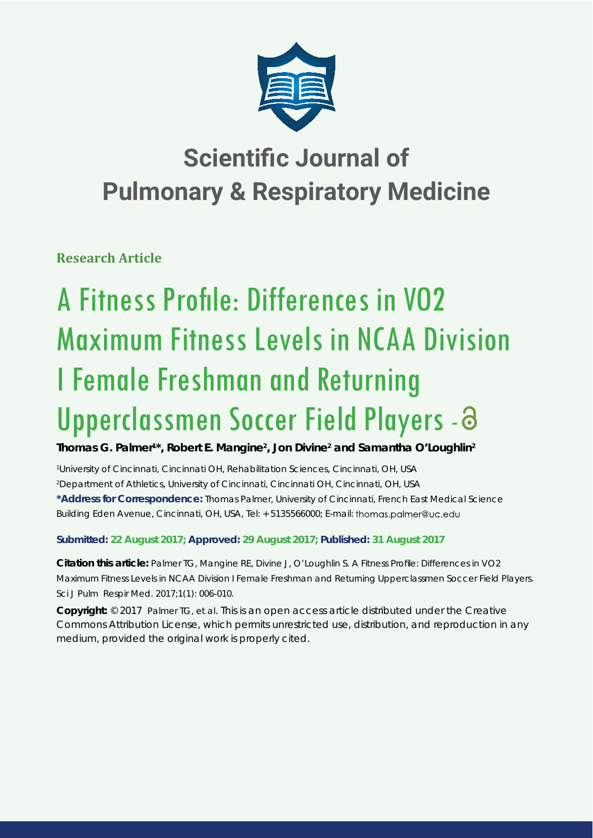

# **Scientific Journal of Pulmonary & Respiratory Medicine**

**Research Article**

# A Fitness Profile: Differences in VO2 Maximum Fitness Levels in NCAA Division I Female Freshman and Returning Upperclassmen Soccer Field Players - a

**Thomas G. Palmer<sup>1\*</sup>, Robert E. Mangine<sup>2</sup>, Jon Divine<sup>2</sup> and Samantha O'Loughlin<sup>2</sup>** 

*1 University of Cincinnati, Cincinnati OH, Rehabilitation Sciences, Cincinnati, OH, USA*

*2 Department of Athletics, University of Cincinnati, Cincinnati OH, Cincinnati, OH, USA*

**\*Address for Correspondence:** Thomas Palmer, University of Cincinnati, French East Medical Science Building Eden Avenue, Cincinnati, OH, USA, Tel: + 5135566000; E-mail: thomas.palmer@uc.edu

**Submitted: 22 August 2017; Approved: 29 August 2017; Published: 31 August 2017**

**Citation this article:** Palmer TG, Mangine RE, Divine J, O'Loughlin S. A Fitness Profile: Differences in VO2 Maximum Fitness Levels in NCAA Division I Female Freshman and Returning Upperclassmen Soccer Field Players. Sci J Pulm Respir Med. 2017;1(1): 006-010.

**Copyright:** © 2017 Palmer TG, et al. This is an open access article distributed under the Creative Commons Attribution License, which permits unrestricted use, distribution, and reproduction in any medium, provided the original work is properly cited.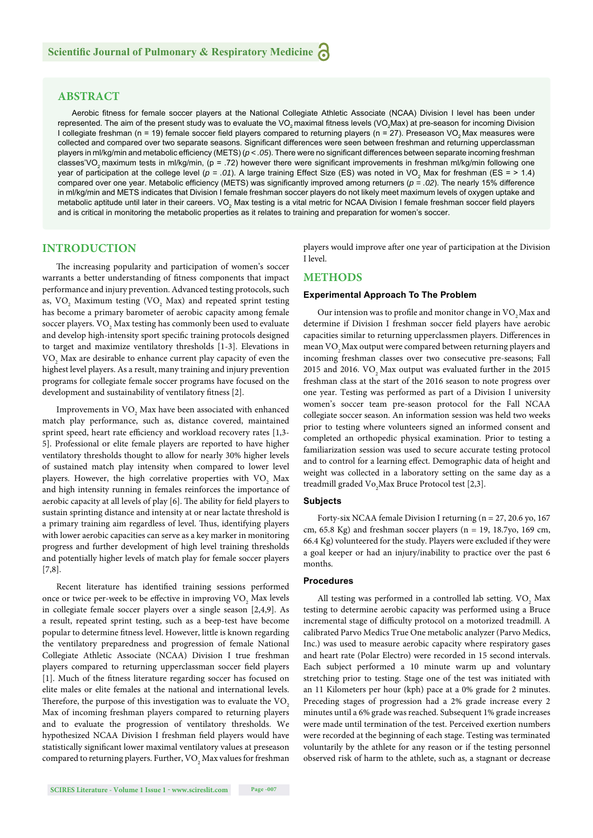# **ABSTRACT**

Aerobic fitness for female soccer players at the National Collegiate Athletic Associate (NCAA) Division I level has been under represented. The aim of the present study was to evaluate the VO<sub>2</sub> maximal fitness levels (VO<sub>2</sub>Max) at pre-season for incoming Division I collegiate freshman (n = 19) female soccer field players compared to returning players (n = 27). Preseason VO, Max measures were collected and compared over two separate seasons. Significant differences were seen between freshman and returning upperclassman players in ml/kg/min and metabolic efficiency (METS) ( $p < .05$ ). There were no significant differences between separate incoming freshman classes'VO<sub>2</sub> maximum tests in ml/kg/min, (p = .72) however there were significant improvements in freshman ml/kg/min following one year of participation at the college level ( $p = .01$ ). A large training Effect Size (ES) was noted in VO<sub>2</sub> Max for freshman (ES = > 1.4) compared over one year. Metabolic efficiency (METS) was significantly improved among returners ( $p = .02$ ). The nearly 15% difference in ml/kg/min and METS indicates that Division I female freshman soccer players do not likely meet maximum levels of oxygen uptake and metabolic aptitude until later in their careers. VO<sub>2</sub> Max testing is a vital metric for NCAA Division I female freshman soccer field players and is critical in monitoring the metabolic properties as it relates to training and preparation for women's soccer.

#### **INTRODUCTION**

The increasing popularity and participation of women's soccer warrants a better understanding of fitness components that impact performance and injury prevention. Advanced testing protocols, such as,  $\rm VO_{_2}$  Maximum testing  $(\rm VO_{_2}$  Max) and repeated sprint testing has become a primary barometer of aerobic capacity among female soccer players.  $\rm VO_{_2}$  Max testing has commonly been used to evaluate and develop high-intensity sport specific training protocols designed to target and maximize ventilatory thresholds [1-3]. Elevations in VO<sub>2</sub> Max are desirable to enhance current play capacity of even the highest level players. As a result, many training and injury prevention programs for collegiate female soccer programs have focused on the development and sustainability of ventilatory fitness [2].

Improvements in  $\mathrm{VO}_2$  Max have been associated with enhanced match play performance, such as, distance covered, maintained sprint speed, heart rate efficiency and workload recovery rates [1,3-5]. Professional or elite female players are reported to have higher ventilatory thresholds thought to allow for nearly 30% higher levels of sustained match play intensity when compared to lower level players. However, the high correlative properties with  $\rm VO_{_2}$  Max and high intensity running in females reinforces the importance of aerobic capacity at all levels of play [6]. The ability for field players to sustain sprinting distance and intensity at or near lactate threshold is a primary training aim regardless of level. Thus, identifying players with lower aerobic capacities can serve as a key marker in monitoring progress and further development of high level training thresholds and potentially higher levels of match play for female soccer players [7,8].

Recent literature has identified training sessions performed once or twice per-week to be effective in improving  $\rm VO_{2}$  Max levels in collegiate female soccer players over a single season [2,4,9]. As a result, repeated sprint testing, such as a beep-test have become popular to determine fitness level. However, little is known regarding the ventilatory preparedness and progression of female National Collegiate Athletic Associate (NCAA) Division I true freshman players compared to returning upperclassman soccer field players [1]. Much of the fitness literature regarding soccer has focused on elite males or elite females at the national and international levels. Therefore, the purpose of this investigation was to evaluate the VO<sub>2</sub> Max of incoming freshman players compared to returning players and to evaluate the progression of ventilatory thresholds. We hypothesized NCAA Division I freshman field players would have statistically significant lower maximal ventilatory values at preseason compared to returning players. Further,  $\mathrm{VO}_2$  Max values for freshman players would improve after one year of participation at the Division I level.

### **METHODS**

#### **Experimental Approach To The Problem**

Our intension was to profile and monitor change in VO<sub>2</sub> Max and determine if Division I freshman soccer field players have aerobic capacities similar to returning upperclassmen players. Differences in mean VO<sub>2</sub> Max output were compared between returning players and incoming freshman classes over two consecutive pre-seasons; Fall 2015 and 2016. VO<sub>2</sub> Max output was evaluated further in the  $2015$ freshman class at the start of the 2016 season to note progress over one year. Testing was performed as part of a Division I university women's soccer team pre-season protocol for the Fall NCAA collegiate soccer season. An information session was held two weeks prior to testing where volunteers signed an informed consent and completed an orthopedic physical examination. Prior to testing a familiarization session was used to secure accurate testing protocol and to control for a learning effect. Demographic data of height and weight was collected in a laboratory setting on the same day as a treadmill graded  $\mathrm{Vo}_{2}$ Max Bruce Protocol test [2,3].

#### **Subjects**

Forty-six NCAA female Division I returning (n = 27, 20.6 yo, 167 cm,  $65.8$  Kg) and freshman soccer players (n = 19, 18.7yo, 169 cm, 66.4 Kg) volunteered for the study. Players were excluded if they were a goal keeper or had an injury/inability to practice over the past 6 months.

#### **Procedures**

All testing was performed in a controlled lab setting.  $\rm VO_{2}$  Max testing to determine aerobic capacity was performed using a Bruce incremental stage of difficulty protocol on a motorized treadmill. A calibrated Parvo Medics True One metabolic analyzer (Parvo Medics, Inc.) was used to measure aerobic capacity where respiratory gases and heart rate (Polar Electro) were recorded in 15 second intervals. Each subject performed a 10 minute warm up and voluntary stretching prior to testing. Stage one of the test was initiated with an 11 Kilometers per hour (kph) pace at a 0% grade for 2 minutes. Preceding stages of progression had a 2% grade increase every 2 minutes until a 6% grade was reached. Subsequent 1% grade increases were made until termination of the test. Perceived exertion numbers were recorded at the beginning of each stage. Testing was terminated voluntarily by the athlete for any reason or if the testing personnel observed risk of harm to the athlete, such as, a stagnant or decrease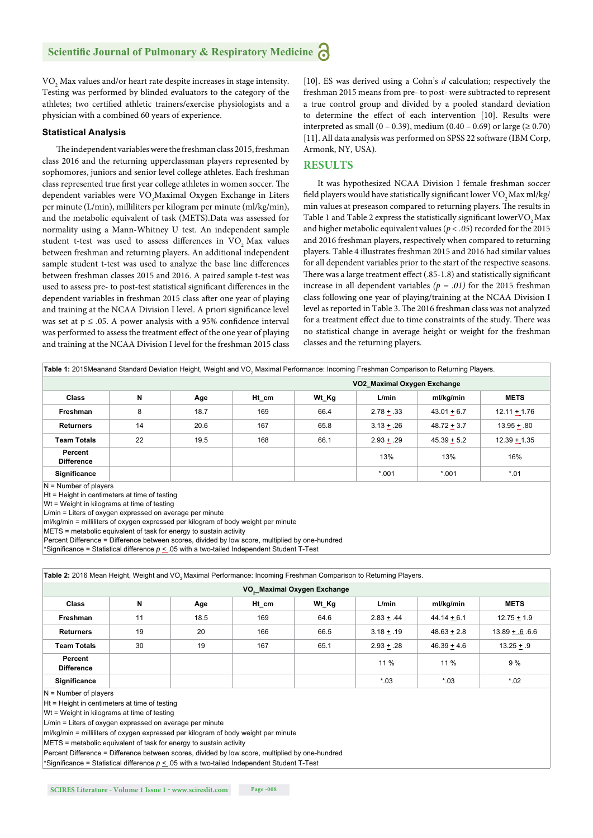$\rm VO_{_2}$  Max values and/or heart rate despite increases in stage intensity. Testing was performed by blinded evaluators to the category of the athletes; two certified athletic trainers/exercise physiologists and a physician with a combined 60 years of experience.

#### **Statistical Analysis**

The independent variables were the freshman class 2015, freshman class 2016 and the returning upperclassman players represented by sophomores, juniors and senior level college athletes. Each freshman class represented true first year college athletes in women soccer. The dependent variables were  $\rm VO_{2}$ Maximal Oxygen Exchange in Liters per minute (L/min), milliliters per kilogram per minute (ml/kg/min), and the metabolic equivalent of task (METS).Data was assessed for normality using a Mann-Whitney U test. An independent sample student t-test was used to assess differences in VO<sub>2</sub> Max values between freshman and returning players. An additional independent sample student t-test was used to analyze the base line differences between freshman classes 2015 and 2016. A paired sample t-test was used to assess pre- to post-test statistical significant differences in the dependent variables in freshman 2015 class after one year of playing and training at the NCAA Division I level. A priori significance level was set at  $p \leq .05$ . A power analysis with a 95% confidence interval was performed to assess the treatment effect of the one year of playing and training at the NCAA Division I level for the freshman 2015 class

[10]. ES was derived using a Cohn's *d* calculation; respectively the freshman 2015 means from pre- to post- were subtracted to represent a true control group and divided by a pooled standard deviation to determine the effect of each intervention [10]. Results were interpreted as small  $(0 - 0.39)$ , medium  $(0.40 - 0.69)$  or large  $(≥ 0.70)$ [11]. All data analysis was performed on SPSS 22 software (IBM Corp, Armonk, NY, USA).

# **RESULTS**

It was hypothesized NCAA Division I female freshman soccer field players would have statistically significant lower VO<sub>2</sub> Max ml/kg/ min values at preseason compared to returning players. The results in Table 1 and Table 2 express the statistically significant lower VO<sub>2</sub> Max and higher metabolic equivalent values (*p < .05*) recorded for the 2015 and 2016 freshman players, respectively when compared to returning players. Table 4 illustrates freshman 2015 and 2016 had similar values for all dependent variables prior to the start of the respective seasons. There was a large treatment effect (.85-1.8) and statistically significant increase in all dependent variables  $(p = .01)$  for the 2015 freshman class following one year of playing/training at the NCAA Division I level as reported in Table 3. The 2016 freshman class was not analyzed for a treatment effect due to time constraints of the study. There was no statistical change in average height or weight for the freshman classes and the returning players.

|                              |    |      | VO2 Maximal Oxygen Exchange |       |              |               |                |  |  |
|------------------------------|----|------|-----------------------------|-------|--------------|---------------|----------------|--|--|
| <b>Class</b>                 | N  | Age  | Ht cm                       | Wt_Kg | L/min        | ml/kg/min     | <b>METS</b>    |  |  |
| Freshman                     | 8  | 18.7 | 169                         | 66.4  | $2.78 + .33$ | $43.01 + 6.7$ | $12.11 + 1.76$ |  |  |
| <b>Returners</b>             | 14 | 20.6 | 167                         | 65.8  | $3.13 + .26$ | $48.72 + 3.7$ | $13.95 + .80$  |  |  |
| <b>Team Totals</b>           | 22 | 19.5 | 168                         | 66.1  | $2.93 + .29$ | $45.39 + 5.2$ | $12.39 + 1.35$ |  |  |
| Percent<br><b>Difference</b> |    |      |                             |       | 13%          | 13%           | 16%            |  |  |
| Significance                 |    |      |                             |       | $*001$       | $*001$        | $*01$          |  |  |

Ht = Height in centimeters at time of testing

Wt = Weight in kilograms at time of testing

L/min = Liters of oxygen expressed on average per minute

ml/kg/min = milliliters of oxygen expressed per kilogram of body weight per minute METS = metabolic equivalent of task for energy to sustain activity

Percent Difference = Difference between scores, divided by low score, multiplied by one-hundred

\*Significance = Statistical difference  $p \leq 0.05$  with a two-tailed Independent Student T-Test

| Table 2: 2016 Mean Height, Weight and VO <sub>2</sub> Maximal Performance: Incoming Freshman Comparison to Returning Players. |    |      |       |       |              |               |               |  |  |
|-------------------------------------------------------------------------------------------------------------------------------|----|------|-------|-------|--------------|---------------|---------------|--|--|
| VO <sub>2</sub> _Maximal Oxygen Exchange                                                                                      |    |      |       |       |              |               |               |  |  |
| <b>Class</b>                                                                                                                  | N  | Age  | Ht_cm | Wt_Kg | L/min        | ml/kg/min     | <b>METS</b>   |  |  |
| Freshman                                                                                                                      | 11 | 18.5 | 169   | 64.6  | $2.83 + .44$ | $44.14 + 6.1$ | $12.75 + 1.9$ |  |  |
| <b>Returners</b>                                                                                                              | 19 | 20   | 166   | 66.5  | $3.18 + .19$ | $48.63 + 2.8$ | $13.89 + 6.6$ |  |  |
| <b>Team Totals</b>                                                                                                            | 30 | 19   | 167   | 65.1  | $2.93 + .28$ | $46.39 + 4.6$ | $13.25 + .9$  |  |  |
| Percent<br><b>Difference</b>                                                                                                  |    |      |       |       | $11\%$       | $11\%$        | 9 %           |  |  |
| <b>Significance</b>                                                                                                           |    |      |       |       | $*03$        | $*03$         | $*02$         |  |  |

N = Number of players

Ht = Height in centimeters at time of testing

Wt = Weight in kilograms at time of testing

L/min = Liters of oxygen expressed on average per minute

ml/kg/min = milliliters of oxygen expressed per kilogram of body weight per minute

METS = metabolic equivalent of task for energy to sustain activity

Percent Difference = Difference between scores, divided by low score, multiplied by one-hundred

\*Significance = Statistical difference  $p \leq 0.05$  with a two-tailed Independent Student T-Test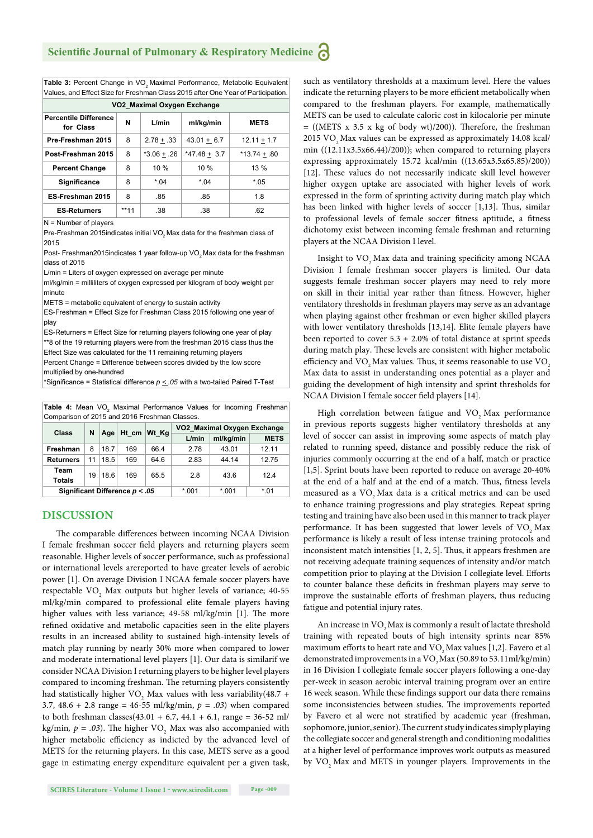Table 3: Percent Change in VO<sub>2</sub> Maximal Performance, Metabolic Equivalent Values, and Effect Size for Freshman Class 2015 after One Year of Participation.

| VO2 Maximal Oxygen Exchange               |        |                 |                |                |  |  |  |  |
|-------------------------------------------|--------|-----------------|----------------|----------------|--|--|--|--|
| <b>Percentile Difference</b><br>for Class | N      | L/min           | ml/kg/min      | <b>METS</b>    |  |  |  |  |
| Pre-Freshman 2015                         | 8      | $2.78 \pm .33$  | $43.01 + 6.7$  | $12.11 + 1.7$  |  |  |  |  |
| Post-Freshman 2015                        | 8      | $*3.06 \pm .26$ | $*47.48 + 3.7$ | $*13.74 + .80$ |  |  |  |  |
| <b>Percent Change</b>                     | 8      | 10%             | 10%            | 13%            |  |  |  |  |
| <b>Significance</b>                       | 8      | $*04$           | $*04$          | $*05$          |  |  |  |  |
| ES-Freshman 2015                          | 8      | .85             | .85            | 1.8            |  |  |  |  |
| <b>ES-Returners</b>                       | $**11$ | .38             | .38            | .62            |  |  |  |  |

N = Number of players

Pre-Freshman 2015indicates initial VO<sub>2</sub> Max data for the freshman class of 2015

Post- Freshman2015indicates 1 year follow-up VO2 Max data for the freshman class of 2015

L/min = Liters of oxygen expressed on average per minute

ml/kg/min = milliliters of oxygen expressed per kilogram of body weight per minute

METS = metabolic equivalent of energy to sustain activity

ES-Freshman = Effect Size for Freshman Class 2015 following one year of play

ES-Returners = Effect Size for returning players following one year of play \*\*8 of the 19 returning players were from the freshman 2015 class thus the Effect Size was calculated for the 11 remaining returning players

Percent Change = Difference between scores divided by the low score multiplied by one-hundred

\*Significance = Statistical difference  $p \leq .05$  with a two-tailed Paired T-Test

**Table 4:** Mean VO<sub>2</sub> Maximal Performance Values for Incoming Freshman Comparison of 2015 and 2016 Freshman Classes.

| <b>Class</b>                     | N  | Age  | Ht cm | Wt Kg | VO2_Maximal Oxygen Exchange |           |             |  |
|----------------------------------|----|------|-------|-------|-----------------------------|-----------|-------------|--|
|                                  |    |      |       |       | L/min                       | ml/kg/min | <b>METS</b> |  |
| Freshman                         | 8  | 18.7 | 169   | 66.4  | 2.78                        | 43.01     | 12 11       |  |
| <b>Returners</b>                 | 11 | 18.5 | 169   | 64.6  | 2.83                        | 44.14     | 12.75       |  |
| Team<br><b>Totals</b>            | 19 | 18.6 | 169   | 65.5  | 2.8                         | 43.6      | 12.4        |  |
| Significant Difference $p < .05$ |    |      |       |       | $*001$                      | $*001$    | $*01$       |  |

#### **DISCUSSION**

The comparable differences between incoming NCAA Division I female freshman soccer field players and returning players seem reasonable. Higher levels of soccer performance, such as professional or international levels arereported to have greater levels of aerobic power [1]. On average Division I NCAA female soccer players have respectable  $\rm VO_{_2}$  Max outputs but higher levels of variance; 40-55 ml/kg/min compared to professional elite female players having higher values with less variance; 49-58 ml/kg/min [1]. The more refined oxidative and metabolic capacities seen in the elite players results in an increased ability to sustained high-intensity levels of match play running by nearly 30% more when compared to lower and moderate international level players [1]. Our data is similarif we consider NCAA Division I returning players to be higher level players compared to incoming freshman. The returning players consistently had statistically higher  $\rm VO_{_2}$  Max values with less variability(48.7 + 3.7, 48.6 + 2.8 range = 46-55 ml/kg/min, *p = .03*) when compared to both freshman classes( $43.01 + 6.7$ ,  $44.1 + 6.1$ , range =  $36-52$  ml/ kg/min,  $p = .03$ ). The higher VO<sub>2</sub> Max was also accompanied with higher metabolic efficiency as indicted by the advanced level of METS for the returning players. In this case, METS serve as a good gage in estimating energy expenditure equivalent per a given task,

such as ventilatory thresholds at a maximum level. Here the values indicate the returning players to be more efficient metabolically when compared to the freshman players. For example, mathematically METS can be used to calculate caloric cost in kilocalorie per minute  $=$  ((METS x 3.5 x kg of body wt)/200)). Therefore, the freshman 2015 VO<sub>2</sub> Max values can be expressed as approximately 14.08 kcal/ min ((12.11x3.5x66.44)/200)); when compared to returning players expressing approximately 15.72 kcal/min ((13.65x3.5x65.85)/200)) [12]. These values do not necessarily indicate skill level however higher oxygen uptake are associated with higher levels of work expressed in the form of sprinting activity during match play which has been linked with higher levels of soccer  $[1,13]$ . Thus, similar to professional levels of female soccer fitness aptitude, a fitness dichotomy exist between incoming female freshman and returning players at the NCAA Division I level.

Insight to VO<sub>2</sub> Max data and training specificity among NCAA Division I female freshman soccer players is limited. Our data suggests female freshman soccer players may need to rely more on skill in their initial year rather than fitness. However, higher ventilatory thresholds in freshman players may serve as an advantage when playing against other freshman or even higher skilled players with lower ventilatory thresholds [13,14]. Elite female players have been reported to cover  $5.3 + 2.0\%$  of total distance at sprint speeds during match play. These levels are consistent with higher metabolic efficiency and VO<sub>2</sub> Max values. Thus, it seems reasonable to use VO<sub>2</sub> Max data to assist in understanding ones potential as a player and guiding the development of high intensity and sprint thresholds for NCAA Division I female soccer field players [14].

High correlation between fatigue and VO<sub>2</sub> Max performance in previous reports suggests higher ventilatory thresholds at any level of soccer can assist in improving some aspects of match play related to running speed, distance and possibly reduce the risk of injuries commonly occurring at the end of a half, match or practice [1,5]. Sprint bouts have been reported to reduce on average 20-40% at the end of a half and at the end of a match. Thus, fitness levels measured as a VO<sub>2</sub> Max data is a critical metrics and can be used to enhance training progressions and play strategies. Repeat spring testing and training have also been used in this manner to track player performance. It has been suggested that lower levels of VO<sub>2</sub> Max performance is likely a result of less intense training protocols and inconsistent match intensities  $[1, 2, 5]$ . Thus, it appears freshmen are not receiving adequate training sequences of intensity and/or match competition prior to playing at the Division I collegiate level. Efforts to counter balance these deficits in freshman players may serve to improve the sustainable efforts of freshman players, thus reducing fatigue and potential injury rates.

An increase in VO<sub>2</sub> Max is commonly a result of lactate threshold training with repeated bouts of high intensity sprints near 85% maximum efforts to heart rate and VO<sub>2</sub> Max values [1,2]. Favero et al demonstrated improvements in a VO<sub>2</sub> Max (50.89 to 53.11ml/kg/min) in 16 Division I collegiate female soccer players following a one-day per-week in season aerobic interval training program over an entire 16 week season. While these findings support our data there remains some inconsistencies between studies. The improvements reported by Favero et al were not stratified by academic year (freshman, sophomore, junior, senior). The current study indicates simply playing the collegiate soccer and general strength and conditioning modalities at a higher level of performance improves work outputs as measured by VO<sub>2</sub> Max and METS in younger players. Improvements in the